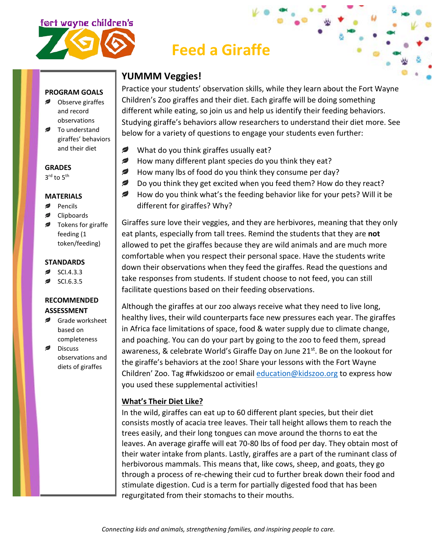# ort wayne children's



## **Feed a Giraffe**

### **YUMMM Veggies!**

Practice your students' observation skills, while they learn about the Fort Wayne Children's Zoo giraffes and their diet. Each giraffe will be doing something different while eating, so join us and help us identify their feeding behaviors. Studying giraffe's behaviors allow researchers to understand their diet more. See below for a variety of questions to engage your students even further:

- ✍ What do you think giraffes usually eat?
- ℯ How many different plant species do you think they eat?
- *₽* How many lbs of food do you think they consume per day?
- ✍ Do you think they get excited when you feed them? How do they react?
- *,* How do you think what's the feeding behavior like for your pets? Will it be different for giraffes? Why?

Giraffes sure love their veggies, and they are herbivores, meaning that they only eat plants, especially from tall trees. Remind the students that they are **not** allowed to pet the giraffes because they are wild animals and are much more comfortable when you respect their personal space. Have the students write down their observations when they feed the giraffes. Read the questions and take responses from students. If student choose to not feed, you can still facilitate questions based on their feeding observations.

Although the giraffes at our zoo always receive what they need to live long, healthy lives, their wild counterparts face new pressures each year. The giraffes in Africa face limitations of space, food & water supply due to climate change, and poaching. You can do your part by going to the zoo to feed them, spread awareness, & celebrate World's Giraffe Day on June 21<sup>st</sup>. Be on the lookout for the giraffe's behaviors at the zoo! Share your lessons with the Fort Wayne Children' Zoo. Tag #fwkidszoo or email [education@kidszoo.org](mailto:education@kidszoo.org) to express how you used these supplemental activities!

#### **What's Their Diet Like?**

In the wild, giraffes can eat up to 60 different plant species, but their diet consists mostly of acacia tree leaves. Their tall height allows them to reach the trees easily, and their long tongues can move around the thorns to eat the leaves. An average giraffe will eat 70-80 lbs of food per day. They obtain most of their water intake from plants. Lastly, giraffes are a part of the ruminant class of herbivorous mammals. This means that, like cows, sheep, and goats, they go through a process of re-chewing their cud to further break down their food and stimulate digestion. Cud is a term for partially digested food that has been regurgitated from their stomachs to their mouths.

#### **PROGRAM GOALS**

- Observe giraffes and record observations
- To understand giraffes' behaviors and their diet

**GRADES**

 $3^{\text{rd}}$  to  $5^{\text{th}}$ 

#### **MATERIALS**

- Pencils
- Clipboards
- Tokens for giraffe feeding (1 token/feeding)

#### **STANDARDS**

- SCI.4.3.3
- SCI.6.3.5

#### **RECOMMENDED ASSESSMENT**

- Grade worksheet based on completeness
- Discuss observations and diets of giraffes